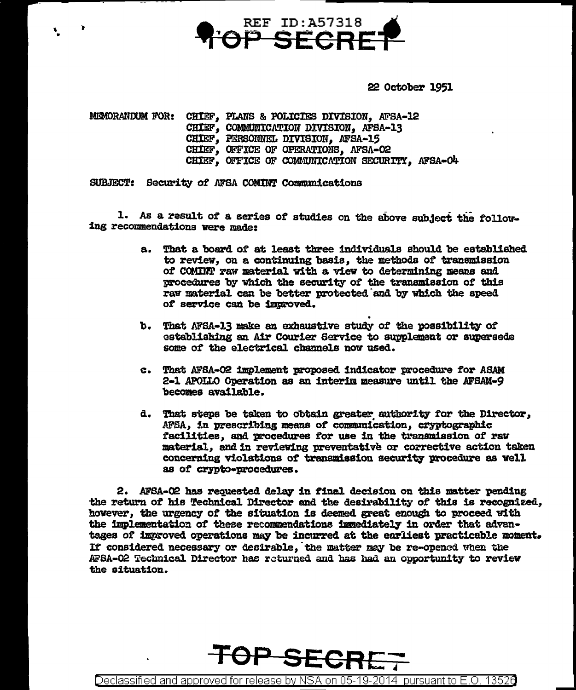

22 October 1951

MEMORANDUM FOR: CHIEF. PLANS & POLICIES DIVISION. AFSA-12 CHIEF, COMMUNICATION DIVISION, AFSA-13 CHIEF, PERSONNEL DIVISION, AFSA-15 CHIEF, OFFICE OF OPERATIONS, AFSA-02 CHIEF, OFFICE OF COMMUNICATION SECURITY, AFSA-O4

SUBJECT: Security of AFSA COMINT Communications

1. As a result of a series of studies on the above subject the following recommendations were made:

- a. That a board of at least three individuals should be established to review, on a continuing basis, the methods of transmission of COMINT raw material with a view to determining means and procedures by which the security of the transmission of this raw material can be better protected and by which the speed of service can be improved.
- b. That AFSA-13 make an exhaustive study of the possibility of establishing an Air Courier Service to supplement or supersede some of the electrical channels now used.
- c. That AFSA-02 implement proposed indicator procedure for ASAM 2-1 APOLLO Operation as an interim measure until the AFSAM-9 becomes available.
- d. That steps be taken to obtain greater authority for the Director. AFSA, in prescribing means of communication, cryptographic facilities, and procedures for use in the transmission of raw material, and in reviewing preventative or corrective action taken concerning violations of transmission security procedure as well as of crypto-procedures.

2. AFSA-02 has requested delay in final decision on this matter pending the return of his Technical Director and the desirability of this is recognized, however, the urgency of the situation is deemed great enough to proceed with the implementation of these recommendations immediately in order that advantages of improved operations may be incurred at the earliest practicable moment. If considered necessary or desirable, the matter may be re-opened when the AFSA-02 Technical Director has returned and has had an opportunity to review the situation.



Declassified and approved for release by NSA on 05-19-2014 pursuant to E.O. 13526